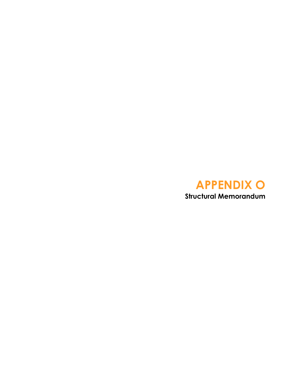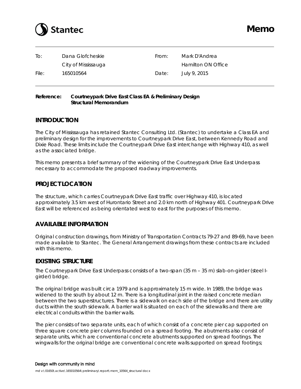

| To:   | Dana Glofcheskie    | From: | Mark D'Andrea      |
|-------|---------------------|-------|--------------------|
|       | City of Mississauga |       | Hamilton ON Office |
| File: | 165010564           | Date: | July 9, 2015       |

#### **Reference: Courtneypark Drive East Class EA & Preliminary Design Structural Memorandum**

## **INTRODUCTION**

The City of Mississauga has retained Stantec Consulting Ltd. (Stantec) to undertake a Class EA and preliminary design for the improvements to Courtneypark Drive East, between Kennedy Road and Dixie Road. These limits include the Courtneypark Drive East interchange with Highway 410, as well as the associated bridge.

This memo presents a brief summary of the widening of the Courtneypark Drive East Underpass necessary to accommodate the proposed roadway improvements.

## **PROJECT LOCATION**

The structure, which carries Courtneypark Drive East traffic over Highway 410, is located approximately 3.5 km west of Hurontario Street and 2.0 km north of Highway 401. Courtneypark Drive East will be referenced as being orientated west to east for the purposes of this memo.

## **AVAILABLE INFORMATION**

Original construction drawings, from Ministry of Transportation Contracts 79-27 and 89-69, have been made available to Stantec. The General Arrangement drawings from these contracts are included with this memo.

## **EXISTING STRUCTURE**

The Courtneypark Drive East Underpass consists of a two-span (35 m – 35 m) slab-on-girder (steel Igirder) bridge.

The original bridge was built circa 1979 and is approximately 15 m wide. In 1989, the bridge was widened to the south by about 12 m. There is a longitudinal joint in the raised concrete median between the two superstructures. There is a sidewalk on each side of the bridge and there are utility ducts within the south sidewalk. A barrier wall is situated on each of the sidewalks and there are electrical conduits within the barrier walls.

The pier consists of two separate units, each of which consist of a concrete pier cap supported on three square concrete pier columns founded on a spread footing. The abutments also consist of separate units, which are conventional concrete abutments supported on spread footings. The wingwalls for the original bridge are conventional concrete walls supported on spread footings;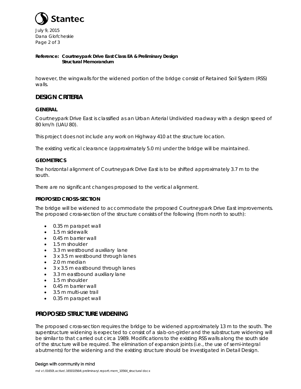

July 9, 2015 Dana Glofcheskie Page 2 of 3

#### **Reference: Courtneypark Drive East Class EA & Preliminary Design Structural Memorandum**

however, the wingwalls for the widened portion of the bridge consist of Retained Soil System (RSS) walls.

## **DESIGN CRITERIA**

#### **GENERAL**

Courtneypark Drive East is classified as an Urban Arterial Undivided roadway with a design speed of 80 km/h (UAU 80).

This project does not include any work on Highway 410 at the structure location.

The existing vertical clearance (approximately 5.0 m) under the bridge will be maintained.

#### **GEOMETRICS**

The horizontal alignment of Courtneypark Drive East is to be shifted approximately 3.7 m to the south.

There are no significant changes proposed to the vertical alignment.

#### **PROPOSED CROSS-SECTION**

The bridge will be widened to accommodate the proposed Courtneypark Drive East improvements. The proposed cross-section of the structure consists of the following (from north to south):

- 0.35 m parapet wall
- 1.5 m sidewalk
- 0.45 m barrier wall
- 1.5 m shoulder
- 3.3 m westbound auxiliary lane
- 3 x 3.5 m westbound through lanes
- 2.0 m median
- 3 x 3.5 m eastbound through lanes
- 3.3 m eastbound auxiliary lane
- 1.5 m shoulder
- 0.45 m barrier wall
- 3.5 m multi-use trail
- 0.35 m parapet wall

## **PROPOSED STRUCTURE WIDENING**

The proposed cross-section requires the bridge to be widened approximately 13 m to the south. The superstructure widening is expected to consist of a slab-on-girder and the substructure widening will be similar to that carried out circa 1989. Modifications to the existing RSS walls along the south side of the structure will be required. The elimination of expansion joints (i.e., the use of semi-integral abutments) for the widening and the existing structure should be investigated in Detail Design.

#### Design with community in mind

md v:\01650\active\165010564\preliminary\report\mem\_10564\_structural docx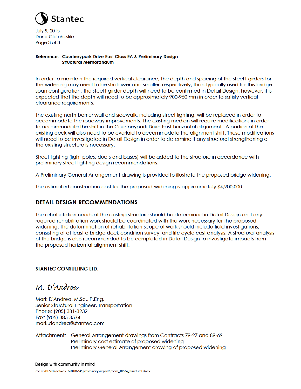

July 9, 2015 **Dana Glofcheskie** Page 3 of 3

#### Reference: Courtneypark Drive East Class EA & Preliminary Design **Structural Memorandum**

In order to maintain the required vertical clearance, the depth and spacing of the steel I-girders for the widening may need to be shallower and smaller, respectively, than typically used for this bridge span configuration. The steel I-girder depth will need to be confirmed in Detail Design; however, it is expected that the depth will need to be approximately 900-950 mm in order to satisfy vertical clearance requirements.

The existing north barrier wall and sidewalk, including street lighting, will be replaced in order to accommodate the roadway improvements. The existing median will require modifications in order to accommodate the shift in the Courtneypark Drive East horizontal alignment. A portion of the existing deck will also need to be overlaid to accommodate the alignment shift. These modifications will need to be investigated in Detail Desian in order to determine if any structural strenathening of the existing structure is necessary.

Street lighting (light poles, ducts and bases) will be added to the structure in accordance with preliminary street lighting design recommendations.

A Preliminary General Arrangement drawing is provided to illustrate the proposed bridge widening.

The estimated construction cost for the proposed widening is approximately \$4,900,000.

## **DETAIL DESIGN RECOMMENDATIONS**

The rehabilitation needs of the existing structure should be determined in Detail Design and any required rehabilitation work should be coordinated with the work necessary for the proposed widening. The determination of rehabilitation scope of work should include field investigations, consisting of at least a bridge deck condition survey, and life cycle cost analysis. A structural analysis of the bridge is also recommended to be completed in Detail Design to investigate impacts from the proposed horizontal alignment shift.

#### **STANTEC CONSULTING LTD.**

M. D'Andrea

Mark D'Andrea, M.Sc., P.Eng. Senior Structural Engineer, Transportation Phone: (905) 381-3232 Fax: (905) 385-3534 mark.dandrea@stantec.com

Attachment: General Arrangement drawings from Contracts 79-27 and 89-69 Preliminary cost estimate of proposed widening Preliminary General Arrangement drawing of proposed widening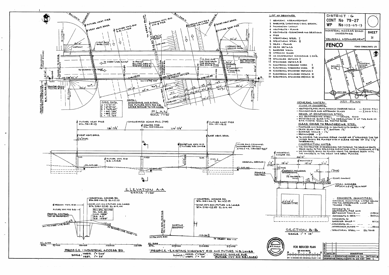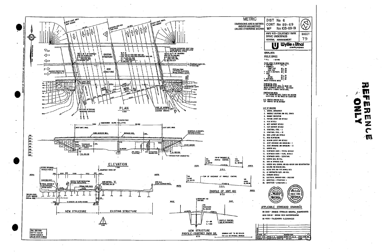

| 1-69<br>$-69 - 19$                                                                                                                   |                                          |
|--------------------------------------------------------------------------------------------------------------------------------------|------------------------------------------|
| <b>IEY PARK</b><br>Ŝ                                                                                                                 | SHEET<br>79                              |
| NENT<br>U<br>e &<br>consulting enginee                                                                                               | Y.                                       |
|                                                                                                                                      |                                          |
| 쁜                                                                                                                                    |                                          |
| ֧֧֧֦֧ׅ֧ׅ֧֧ׅ֧ׅ֧ׅ֧֧ׅ֧֧֧ׅ֧֧֧֧ׅ֧֧֧֧֧֧֛֧֛֧֛֧֚֚֚֚֚֚֚֚֚֚֚֚֚֚֚֚֚֚֚֚֚֚֚֚֚֚֚֚֝֝֓֜֓֜֓֓֜֓֜֓֜֓֜֜֓֜֝֬֜֜֜֝֬֜֝֬֜<br>֧֛֧֧֧֧֛֧֛֛֪֛֪֛֛֛֛֪֛֛֛֛֪֛֚֚֜֜֜֜֜֜ |                                          |
| ade 400<br>Bar maras<br>۸b.                                                                                                          |                                          |
| H THE BEARTIG<br>ED ELEVATIONS                                                                                                       |                                          |
|                                                                                                                                      |                                          |
| IL STRATA<br>s                                                                                                                       |                                          |
|                                                                                                                                      |                                          |
|                                                                                                                                      |                                          |
| s<br>RIN - I<br>RING - II                                                                                                            |                                          |
| L DETAIL!<br>DETAILS<br>10NS                                                                                                         |                                          |
| real neditar curii reconstruction                                                                                                    |                                          |
| אוא ה<br>DЪ.,                                                                                                                        |                                          |
| - HIAISTRT<br>ı<br>t                                                                                                                 |                                          |
| ц,<br>e ka<br>ነ<br>e or O <sup>rt</sup>                                                                                              |                                          |
| rd drawings<br>ur backfill, requirements                                                                                             |                                          |
| WATERPROOFIKG<br>ARANCES                                                                                                             |                                          |
| u                                                                                                                                    |                                          |
| ż<br><u>VČAIPTION</u><br>врс 63. ст. X<br>24.<br>-441                                                                                | f<br>"08<br><b>DATE APR</b><br>lDVO<br>п |

91 U Ø m Z IJ  $\frac{1}{2}$  $\mathbf{m}$  $\mathbf{z}$  $\mathbf C$ · M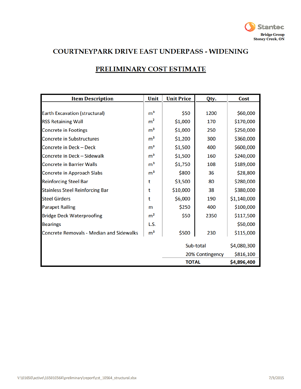

## **COURTNEYPARK DRIVE EAST UNDERPASS - WIDENING**

| <b>Item Description</b>                         | Unit           | <b>Unit Price</b> | Qty. | Cost        |
|-------------------------------------------------|----------------|-------------------|------|-------------|
|                                                 |                |                   |      |             |
| <b>Earth Excavation (structural)</b>            | m <sup>3</sup> | \$50              | 1200 | \$60,000    |
| <b>RSS Retaining Wall</b>                       | m <sup>2</sup> | \$1,000           | 170  | \$170,000   |
| <b>Concrete in Footings</b>                     | m <sup>3</sup> | \$1,000           | 250  | \$250,000   |
| <b>Concrete in Substructures</b>                | m <sup>3</sup> | \$1,200           | 300  | \$360,000   |
| Concrete in Deck - Deck                         | m <sup>3</sup> | \$1,500           | 400  | \$600,000   |
| Concrete in Deck - Sidewalk                     | m <sup>3</sup> | \$1,500           | 160  | \$240,000   |
| <b>Concrete in Barrier Walls</b>                | m <sup>3</sup> | \$1,750           | 108  | \$189,000   |
| Concrete in Approach Slabs                      | m <sup>3</sup> | \$800             | 36   | \$28,800    |
| <b>Reinforcing Steel Bar</b>                    | t              | \$3,500           | 80   | \$280,000   |
| <b>Stainless Steel Reinforcing Bar</b>          | t              | \$10,000          | 38   | \$380,000   |
| <b>Steel Girders</b>                            | t              | \$6,000           | 190  | \$1,140,000 |
| <b>Parapet Railing</b>                          | m              | \$250             | 400  | \$100,000   |
| <b>Bridge Deck Waterproofing</b>                | m <sup>2</sup> | \$50              | 2350 | \$117,500   |
| <b>Bearings</b>                                 | L.S.           |                   |      | \$50,000    |
| <b>Concrete Removals - Median and Sidewalks</b> | m <sup>3</sup> | \$500             | 230  | \$115,000   |
|                                                 |                | Sub-total         |      | \$4,080,300 |
|                                                 |                | 20% Contingency   |      | \$816,100   |
|                                                 |                | <b>TOTAL</b>      |      | \$4,896,400 |

# **PRELIMINARY COST ESTIMATE**